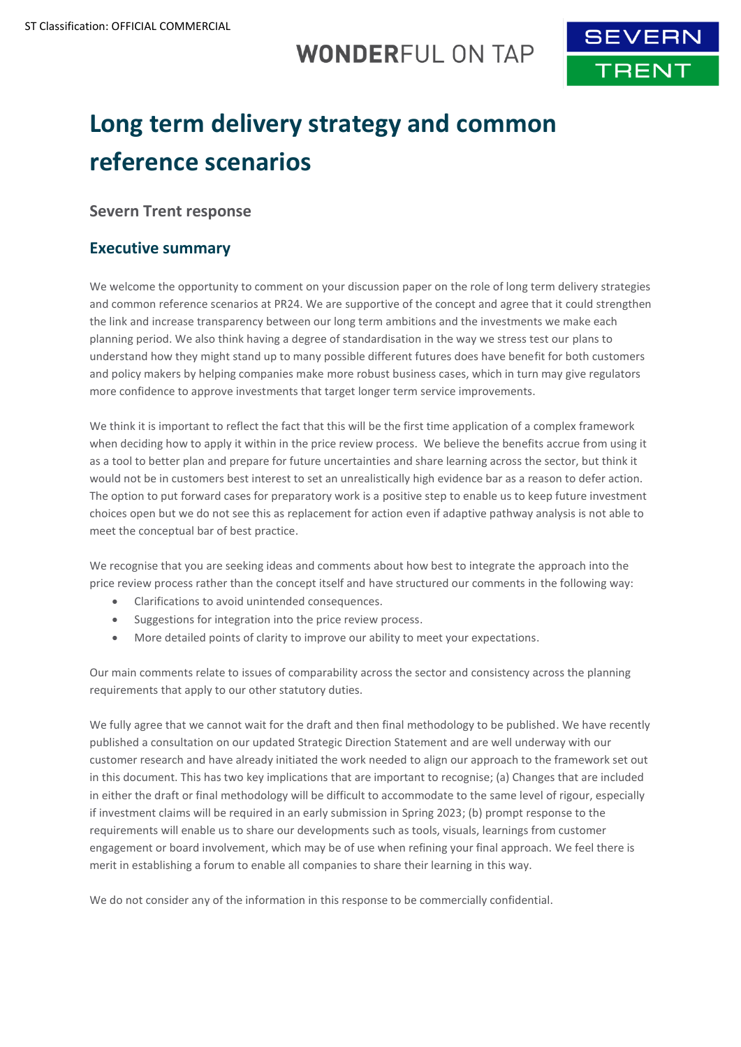# **WONDERFUL ON TAP**



# **Long term delivery strategy and common reference scenarios**

## **Severn Trent response**

## **Executive summary**

We welcome the opportunity to comment on your discussion paper on the role of long term delivery strategies and common reference scenarios at PR24. We are supportive of the concept and agree that it could strengthen the link and increase transparency between our long term ambitions and the investments we make each planning period. We also think having a degree of standardisation in the way we stress test our plans to understand how they might stand up to many possible different futures does have benefit for both customers and policy makers by helping companies make more robust business cases, which in turn may give regulators more confidence to approve investments that target longer term service improvements.

We think it is important to reflect the fact that this will be the first time application of a complex framework when deciding how to apply it within in the price review process. We believe the benefits accrue from using it as a tool to better plan and prepare for future uncertainties and share learning across the sector, but think it would not be in customers best interest to set an unrealistically high evidence bar as a reason to defer action. The option to put forward cases for preparatory work is a positive step to enable us to keep future investment choices open but we do not see this as replacement for action even if adaptive pathway analysis is not able to meet the conceptual bar of best practice.

We recognise that you are seeking ideas and comments about how best to integrate the approach into the price review process rather than the concept itself and have structured our comments in the following way:

- Clarifications to avoid unintended consequences.
- Suggestions for integration into the price review process.
- More detailed points of clarity to improve our ability to meet your expectations.

Our main comments relate to issues of comparability across the sector and consistency across the planning requirements that apply to our other statutory duties.

We fully agree that we cannot wait for the draft and then final methodology to be published. We have recently published a consultation on our updated Strategic Direction Statement and are well underway with our customer research and have already initiated the work needed to align our approach to the framework set out in this document. This has two key implications that are important to recognise; (a) Changes that are included in either the draft or final methodology will be difficult to accommodate to the same level of rigour, especially if investment claims will be required in an early submission in Spring 2023; (b) prompt response to the requirements will enable us to share our developments such as tools, visuals, learnings from customer engagement or board involvement, which may be of use when refining your final approach. We feel there is merit in establishing a forum to enable all companies to share their learning in this way.

We do not consider any of the information in this response to be commercially confidential.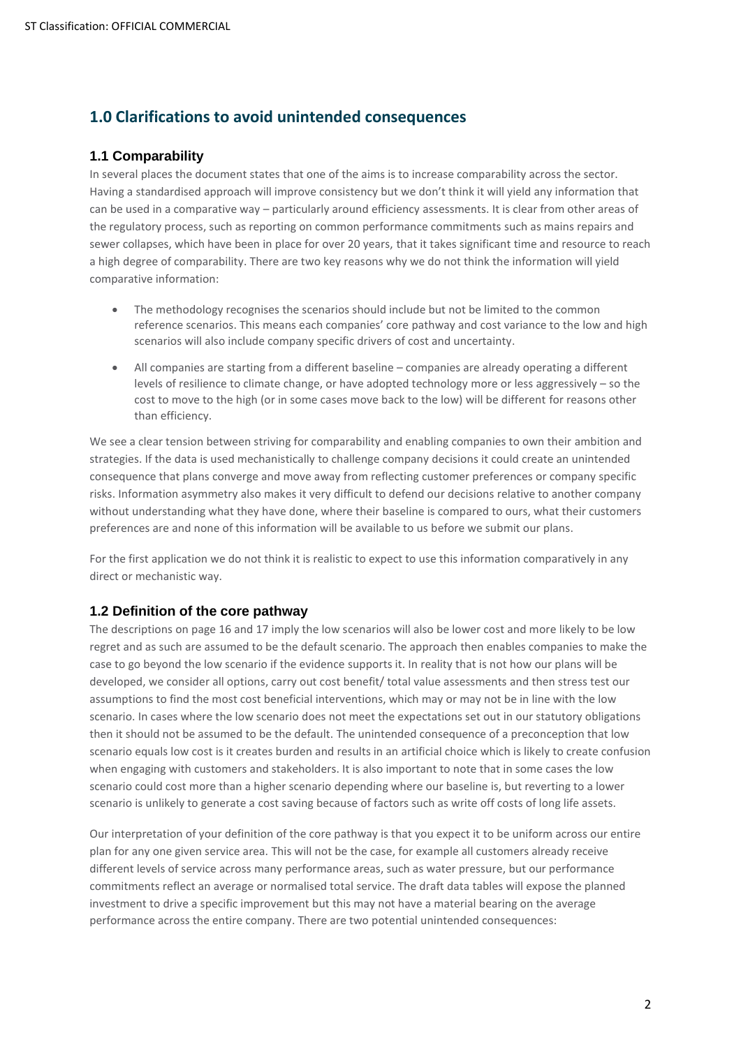# **1.0 Clarifications to avoid unintended consequences**

#### **1.1 Comparability**

In several places the document states that one of the aims is to increase comparability across the sector. Having a standardised approach will improve consistency but we don't think it will yield any information that can be used in a comparative way – particularly around efficiency assessments. It is clear from other areas of the regulatory process, such as reporting on common performance commitments such as mains repairs and sewer collapses, which have been in place for over 20 years, that it takes significant time and resource to reach a high degree of comparability. There are two key reasons why we do not think the information will yield comparative information:

- The methodology recognises the scenarios should include but not be limited to the common reference scenarios. This means each companies' core pathway and cost variance to the low and high scenarios will also include company specific drivers of cost and uncertainty.
- All companies are starting from a different baseline companies are already operating a different levels of resilience to climate change, or have adopted technology more or less aggressively – so the cost to move to the high (or in some cases move back to the low) will be different for reasons other than efficiency.

We see a clear tension between striving for comparability and enabling companies to own their ambition and strategies. If the data is used mechanistically to challenge company decisions it could create an unintended consequence that plans converge and move away from reflecting customer preferences or company specific risks. Information asymmetry also makes it very difficult to defend our decisions relative to another company without understanding what they have done, where their baseline is compared to ours, what their customers preferences are and none of this information will be available to us before we submit our plans.

For the first application we do not think it is realistic to expect to use this information comparatively in any direct or mechanistic way.

#### **1.2 Definition of the core pathway**

The descriptions on page 16 and 17 imply the low scenarios will also be lower cost and more likely to be low regret and as such are assumed to be the default scenario. The approach then enables companies to make the case to go beyond the low scenario if the evidence supports it. In reality that is not how our plans will be developed, we consider all options, carry out cost benefit/ total value assessments and then stress test our assumptions to find the most cost beneficial interventions, which may or may not be in line with the low scenario. In cases where the low scenario does not meet the expectations set out in our statutory obligations then it should not be assumed to be the default. The unintended consequence of a preconception that low scenario equals low cost is it creates burden and results in an artificial choice which is likely to create confusion when engaging with customers and stakeholders. It is also important to note that in some cases the low scenario could cost more than a higher scenario depending where our baseline is, but reverting to a lower scenario is unlikely to generate a cost saving because of factors such as write off costs of long life assets.

Our interpretation of your definition of the core pathway is that you expect it to be uniform across our entire plan for any one given service area. This will not be the case, for example all customers already receive different levels of service across many performance areas, such as water pressure, but our performance commitments reflect an average or normalised total service. The draft data tables will expose the planned investment to drive a specific improvement but this may not have a material bearing on the average performance across the entire company. There are two potential unintended consequences: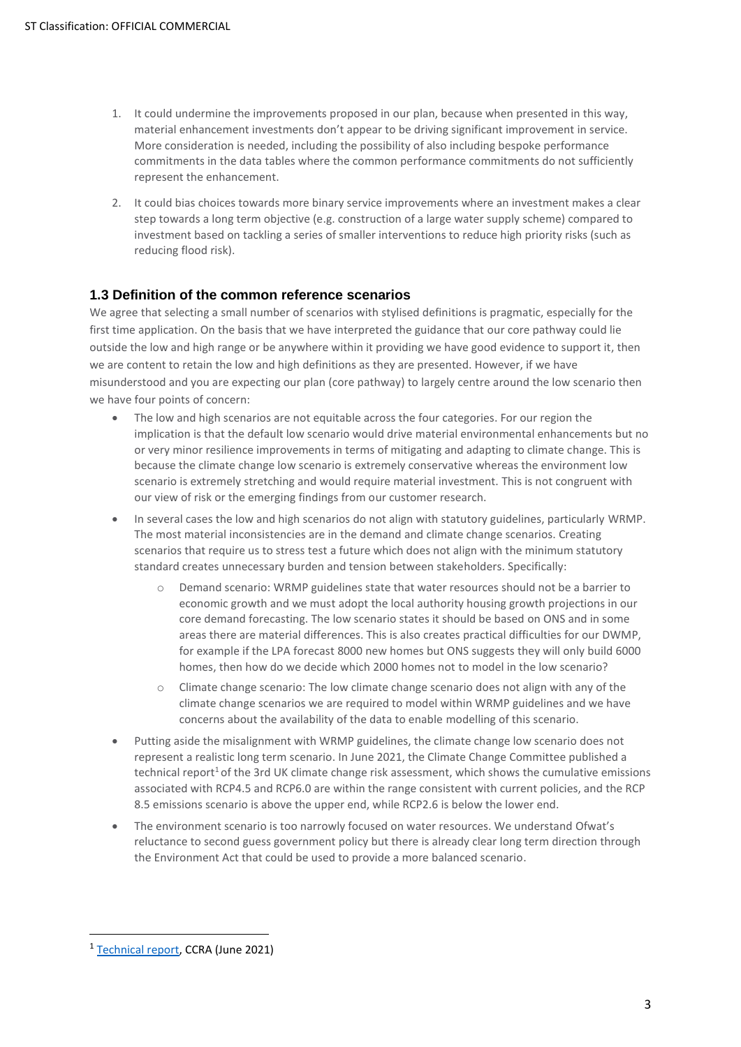- 1. It could undermine the improvements proposed in our plan, because when presented in this way, material enhancement investments don't appear to be driving significant improvement in service. More consideration is needed, including the possibility of also including bespoke performance commitments in the data tables where the common performance commitments do not sufficiently represent the enhancement.
- 2. It could bias choices towards more binary service improvements where an investment makes a clear step towards a long term objective (e.g. construction of a large water supply scheme) compared to investment based on tackling a series of smaller interventions to reduce high priority risks (such as reducing flood risk).

#### **1.3 Definition of the common reference scenarios**

We agree that selecting a small number of scenarios with stylised definitions is pragmatic, especially for the first time application. On the basis that we have interpreted the guidance that our core pathway could lie outside the low and high range or be anywhere within it providing we have good evidence to support it, then we are content to retain the low and high definitions as they are presented. However, if we have misunderstood and you are expecting our plan (core pathway) to largely centre around the low scenario then we have four points of concern:

- The low and high scenarios are not equitable across the four categories. For our region the implication is that the default low scenario would drive material environmental enhancements but no or very minor resilience improvements in terms of mitigating and adapting to climate change. This is because the climate change low scenario is extremely conservative whereas the environment low scenario is extremely stretching and would require material investment. This is not congruent with our view of risk or the emerging findings from our customer research.
- In several cases the low and high scenarios do not align with statutory guidelines, particularly WRMP. The most material inconsistencies are in the demand and climate change scenarios. Creating scenarios that require us to stress test a future which does not align with the minimum statutory standard creates unnecessary burden and tension between stakeholders. Specifically:
	- o Demand scenario: WRMP guidelines state that water resources should not be a barrier to economic growth and we must adopt the local authority housing growth projections in our core demand forecasting. The low scenario states it should be based on ONS and in some areas there are material differences. This is also creates practical difficulties for our DWMP, for example if the LPA forecast 8000 new homes but ONS suggests they will only build 6000 homes, then how do we decide which 2000 homes not to model in the low scenario?
	- o Climate change scenario: The low climate change scenario does not align with any of the climate change scenarios we are required to model within WRMP guidelines and we have concerns about the availability of the data to enable modelling of this scenario.
- Putting aside the misalignment with WRMP guidelines, the climate change low scenario does not represent a realistic long term scenario. In June 2021, the Climate Change Committee published a technical report<sup>1</sup> of the 3rd UK climate change risk assessment, which shows the cumulative emissions associated with RCP4.5 and RCP6.0 are within the range consistent with current policies, and the RCP 8.5 emissions scenario is above the upper end, while RCP2.6 is below the lower end.
- The environment scenario is too narrowly focused on water resources. We understand Ofwat's reluctance to second guess government policy but there is already clear long term direction through the Environment Act that could be used to provide a more balanced scenario.

<sup>&</sup>lt;sup>1</sup> [Technical report,](https://www.ukclimaterisk.org/independent-assessment-ccra3/technical-report/) CCRA (June 2021)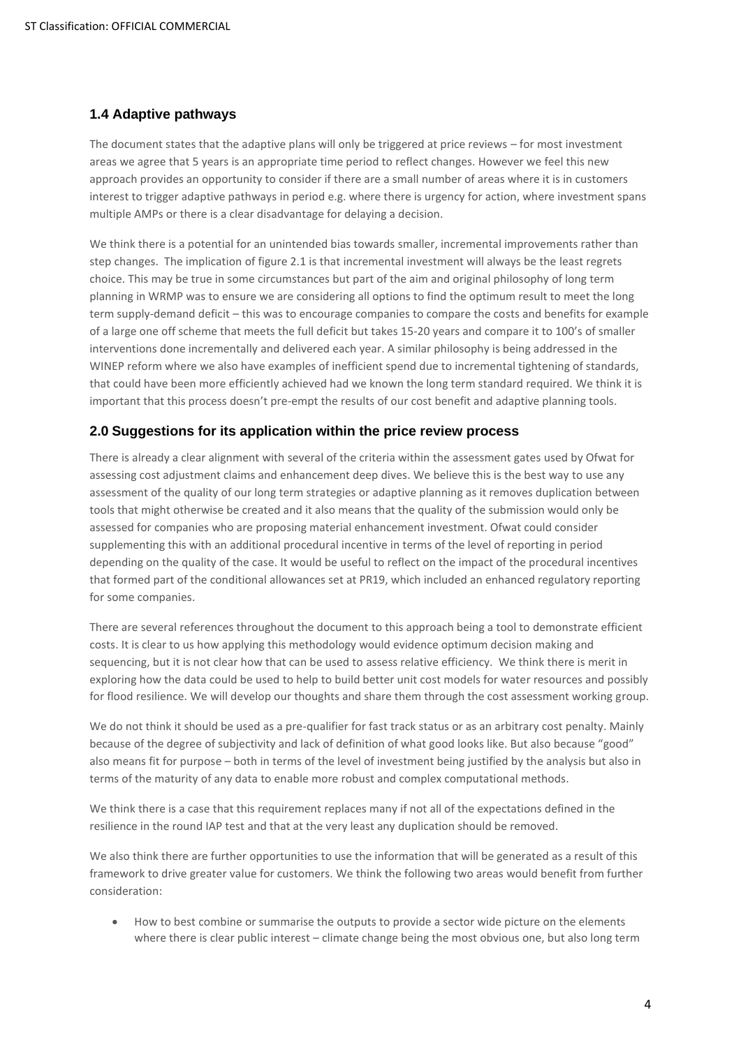#### **1.4 Adaptive pathways**

The document states that the adaptive plans will only be triggered at price reviews – for most investment areas we agree that 5 years is an appropriate time period to reflect changes. However we feel this new approach provides an opportunity to consider if there are a small number of areas where it is in customers interest to trigger adaptive pathways in period e.g. where there is urgency for action, where investment spans multiple AMPs or there is a clear disadvantage for delaying a decision.

We think there is a potential for an unintended bias towards smaller, incremental improvements rather than step changes. The implication of figure 2.1 is that incremental investment will always be the least regrets choice. This may be true in some circumstances but part of the aim and original philosophy of long term planning in WRMP was to ensure we are considering all options to find the optimum result to meet the long term supply-demand deficit – this was to encourage companies to compare the costs and benefits for example of a large one off scheme that meets the full deficit but takes 15-20 years and compare it to 100's of smaller interventions done incrementally and delivered each year. A similar philosophy is being addressed in the WINEP reform where we also have examples of inefficient spend due to incremental tightening of standards, that could have been more efficiently achieved had we known the long term standard required. We think it is important that this process doesn't pre-empt the results of our cost benefit and adaptive planning tools.

#### **2.0 Suggestions for its application within the price review process**

There is already a clear alignment with several of the criteria within the assessment gates used by Ofwat for assessing cost adjustment claims and enhancement deep dives. We believe this is the best way to use any assessment of the quality of our long term strategies or adaptive planning as it removes duplication between tools that might otherwise be created and it also means that the quality of the submission would only be assessed for companies who are proposing material enhancement investment. Ofwat could consider supplementing this with an additional procedural incentive in terms of the level of reporting in period depending on the quality of the case. It would be useful to reflect on the impact of the procedural incentives that formed part of the conditional allowances set at PR19, which included an enhanced regulatory reporting for some companies.

There are several references throughout the document to this approach being a tool to demonstrate efficient costs. It is clear to us how applying this methodology would evidence optimum decision making and sequencing, but it is not clear how that can be used to assess relative efficiency. We think there is merit in exploring how the data could be used to help to build better unit cost models for water resources and possibly for flood resilience. We will develop our thoughts and share them through the cost assessment working group.

We do not think it should be used as a pre-qualifier for fast track status or as an arbitrary cost penalty. Mainly because of the degree of subjectivity and lack of definition of what good looks like. But also because "good" also means fit for purpose – both in terms of the level of investment being justified by the analysis but also in terms of the maturity of any data to enable more robust and complex computational methods.

We think there is a case that this requirement replaces many if not all of the expectations defined in the resilience in the round IAP test and that at the very least any duplication should be removed.

We also think there are further opportunities to use the information that will be generated as a result of this framework to drive greater value for customers. We think the following two areas would benefit from further consideration:

• How to best combine or summarise the outputs to provide a sector wide picture on the elements where there is clear public interest – climate change being the most obvious one, but also long term